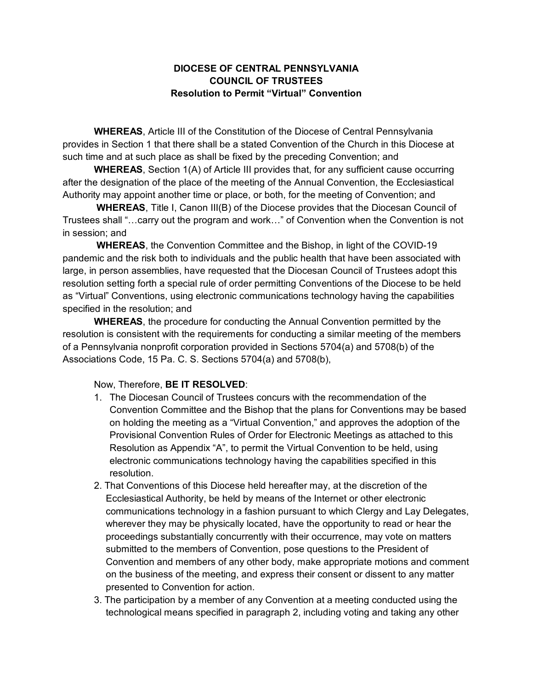## **DIOCESE OF CENTRAL PENNSYLVANIA COUNCIL OF TRUSTEES Resolution to Permit "Virtual" Convention**

**WHEREAS**, Article III of the Constitution of the Diocese of Central Pennsylvania provides in Section 1 that there shall be a stated Convention of the Church in this Diocese at such time and at such place as shall be fixed by the preceding Convention; and

**WHEREAS**, Section 1(A) of Article III provides that, for any sufficient cause occurring after the designation of the place of the meeting of the Annual Convention, the Ecclesiastical Authority may appoint another time or place, or both, for the meeting of Convention; and

**WHEREAS**, Title I, Canon III(B) of the Diocese provides that the Diocesan Council of Trustees shall "…carry out the program and work…" of Convention when the Convention is not in session; and

**WHEREAS**, the Convention Committee and the Bishop, in light of the COVID-19 pandemic and the risk both to individuals and the public health that have been associated with large, in person assemblies, have requested that the Diocesan Council of Trustees adopt this resolution setting forth a special rule of order permitting Conventions of the Diocese to be held as "Virtual" Conventions, using electronic communications technology having the capabilities specified in the resolution; and

**WHEREAS**, the procedure for conducting the Annual Convention permitted by the resolution is consistent with the requirements for conducting a similar meeting of the members of a Pennsylvania nonprofit corporation provided in Sections 5704(a) and 5708(b) of the Associations Code, 15 Pa. C. S. Sections 5704(a) and 5708(b),

## Now, Therefore, **BE IT RESOLVED**:

- 1. The Diocesan Council of Trustees concurs with the recommendation of the Convention Committee and the Bishop that the plans for Conventions may be based on holding the meeting as a "Virtual Convention," and approves the adoption of the Provisional Convention Rules of Order for Electronic Meetings as attached to this Resolution as Appendix "A", to permit the Virtual Convention to be held, using electronic communications technology having the capabilities specified in this resolution.
- 2. That Conventions of this Diocese held hereafter may, at the discretion of the Ecclesiastical Authority, be held by means of the Internet or other electronic communications technology in a fashion pursuant to which Clergy and Lay Delegates, wherever they may be physically located, have the opportunity to read or hear the proceedings substantially concurrently with their occurrence, may vote on matters submitted to the members of Convention, pose questions to the President of Convention and members of any other body, make appropriate motions and comment on the business of the meeting, and express their consent or dissent to any matter presented to Convention for action.
- 3. The participation by a member of any Convention at a meeting conducted using the technological means specified in paragraph 2, including voting and taking any other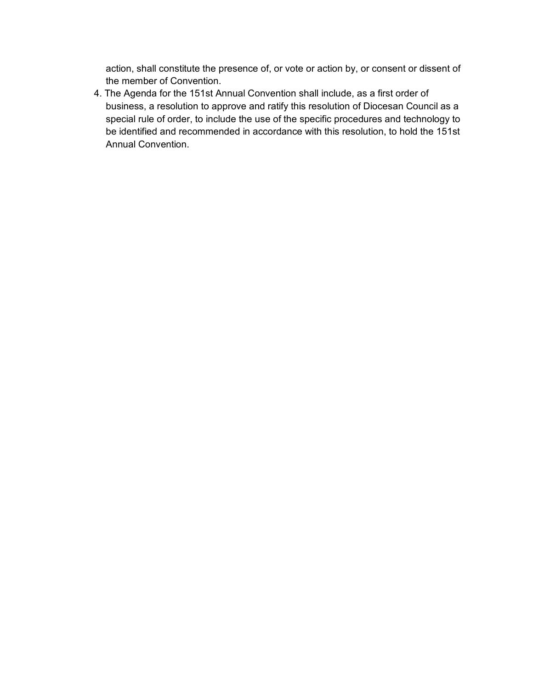action, shall constitute the presence of, or vote or action by, or consent or dissent of the member of Convention.

4. The Agenda for the 151st Annual Convention shall include, as a first order of business, a resolution to approve and ratify this resolution of Diocesan Council as a special rule of order, to include the use of the specific procedures and technology to be identified and recommended in accordance with this resolution, to hold the 151st Annual Convention.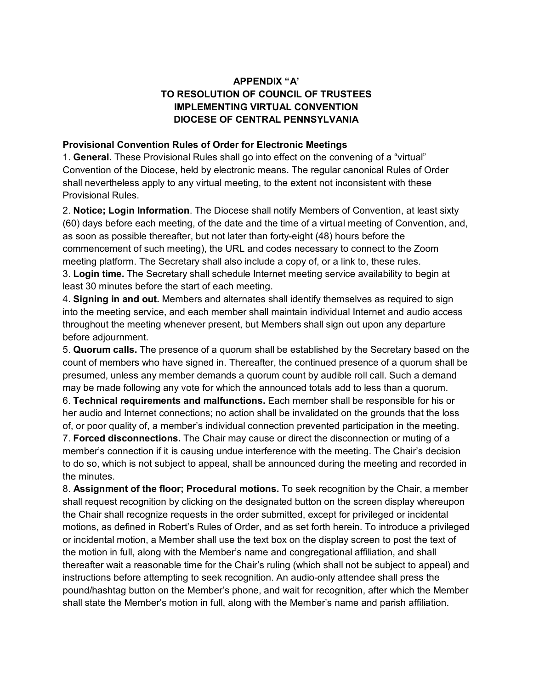## **APPENDIX "A' TO RESOLUTION OF COUNCIL OF TRUSTEES IMPLEMENTING VIRTUAL CONVENTION DIOCESE OF CENTRAL PENNSYLVANIA**

## **Provisional Convention Rules of Order for Electronic Meetings**

1. **General.** These Provisional Rules shall go into effect on the convening of a "virtual" Convention of the Diocese, held by electronic means. The regular canonical Rules of Order shall nevertheless apply to any virtual meeting, to the extent not inconsistent with these Provisional Rules.

2. **Notice; Login Information**. The Diocese shall notify Members of Convention, at least sixty (60) days before each meeting, of the date and the time of a virtual meeting of Convention, and, as soon as possible thereafter, but not later than forty-eight (48) hours before the commencement of such meeting), the URL and codes necessary to connect to the Zoom meeting platform. The Secretary shall also include a copy of, or a link to, these rules. 3. **Login time.** The Secretary shall schedule Internet meeting service availability to begin at least 30 minutes before the start of each meeting.

4. **Signing in and out.** Members and alternates shall identify themselves as required to sign into the meeting service, and each member shall maintain individual Internet and audio access throughout the meeting whenever present, but Members shall sign out upon any departure before adjournment.

5. **Quorum calls.** The presence of a quorum shall be established by the Secretary based on the count of members who have signed in. Thereafter, the continued presence of a quorum shall be presumed, unless any member demands a quorum count by audible roll call. Such a demand may be made following any vote for which the announced totals add to less than a quorum.

6. **Technical requirements and malfunctions.** Each member shall be responsible for his or her audio and Internet connections; no action shall be invalidated on the grounds that the loss of, or poor quality of, a member's individual connection prevented participation in the meeting. 7. **Forced disconnections.** The Chair may cause or direct the disconnection or muting of a

member's connection if it is causing undue interference with the meeting. The Chair's decision to do so, which is not subject to appeal, shall be announced during the meeting and recorded in the minutes.

8. **Assignment of the floor; Procedural motions.** To seek recognition by the Chair, a member shall request recognition by clicking on the designated button on the screen display whereupon the Chair shall recognize requests in the order submitted, except for privileged or incidental motions, as defined in Robert's Rules of Order, and as set forth herein. To introduce a privileged or incidental motion, a Member shall use the text box on the display screen to post the text of the motion in full, along with the Member's name and congregational affiliation, and shall thereafter wait a reasonable time for the Chair's ruling (which shall not be subject to appeal) and instructions before attempting to seek recognition. An audio-only attendee shall press the pound/hashtag button on the Member's phone, and wait for recognition, after which the Member shall state the Member's motion in full, along with the Member's name and parish affiliation.